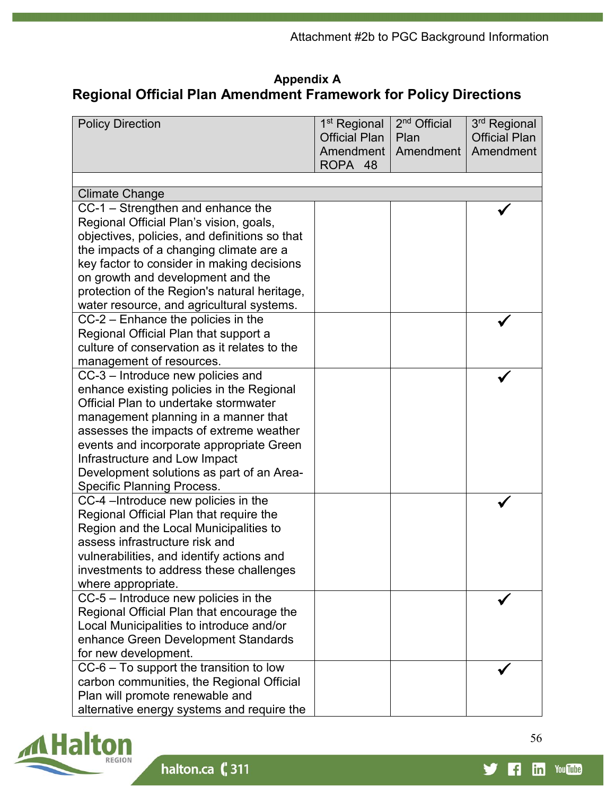## **Appendix A Regional Official Plan Amendment Framework for Policy Directions**

| <b>Policy Direction</b>                                                                                                                                                                                                                                                                                                                                                   | 1 <sup>st</sup> Regional<br><b>Official Plan</b><br>Amendment<br>ROPA 48 | 2 <sup>nd</sup> Official<br>Plan<br>Amendment | 3 <sup>rd</sup> Regional<br><b>Official Plan</b><br>Amendment |
|---------------------------------------------------------------------------------------------------------------------------------------------------------------------------------------------------------------------------------------------------------------------------------------------------------------------------------------------------------------------------|--------------------------------------------------------------------------|-----------------------------------------------|---------------------------------------------------------------|
|                                                                                                                                                                                                                                                                                                                                                                           |                                                                          |                                               |                                                               |
| <b>Climate Change</b>                                                                                                                                                                                                                                                                                                                                                     |                                                                          |                                               |                                                               |
| CC-1 - Strengthen and enhance the<br>Regional Official Plan's vision, goals,<br>objectives, policies, and definitions so that<br>the impacts of a changing climate are a<br>key factor to consider in making decisions<br>on growth and development and the<br>protection of the Region's natural heritage,<br>water resource, and agricultural systems.                  |                                                                          |                                               |                                                               |
| CC-2 - Enhance the policies in the<br>Regional Official Plan that support a<br>culture of conservation as it relates to the<br>management of resources.                                                                                                                                                                                                                   |                                                                          |                                               |                                                               |
| CC-3 - Introduce new policies and<br>enhance existing policies in the Regional<br>Official Plan to undertake stormwater<br>management planning in a manner that<br>assesses the impacts of extreme weather<br>events and incorporate appropriate Green<br>Infrastructure and Low Impact<br>Development solutions as part of an Area-<br><b>Specific Planning Process.</b> |                                                                          |                                               |                                                               |
| CC-4 - Introduce new policies in the<br>Regional Official Plan that require the<br>Region and the Local Municipalities to<br>assess infrastructure risk and<br>vulnerabilities, and identify actions and<br>investments to address these challenges<br>where appropriate.                                                                                                 |                                                                          |                                               |                                                               |
| $CC-5$ – Introduce new policies in the<br>Regional Official Plan that encourage the<br>Local Municipalities to introduce and/or<br>enhance Green Development Standards<br>for new development.                                                                                                                                                                            |                                                                          |                                               |                                                               |
| $CC-6$ – To support the transition to low<br>carbon communities, the Regional Official<br>Plan will promote renewable and<br>alternative energy systems and require the                                                                                                                                                                                                   |                                                                          |                                               |                                                               |



halton.ca (311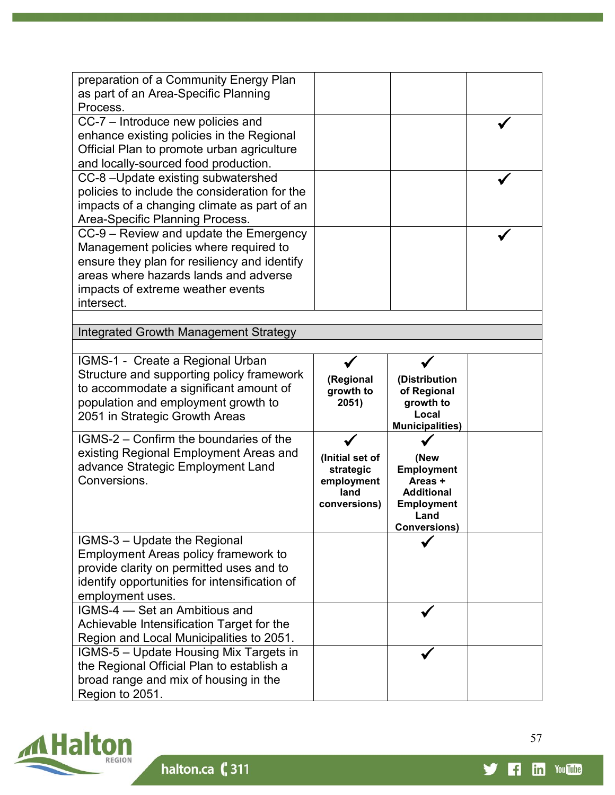| preparation of a Community Energy Plan<br>as part of an Area-Specific Planning<br>Process.                                                                                                                                  |                                                                    |                                                                                                               |  |
|-----------------------------------------------------------------------------------------------------------------------------------------------------------------------------------------------------------------------------|--------------------------------------------------------------------|---------------------------------------------------------------------------------------------------------------|--|
| CC-7 – Introduce new policies and<br>enhance existing policies in the Regional<br>Official Plan to promote urban agriculture<br>and locally-sourced food production.                                                        |                                                                    |                                                                                                               |  |
| CC-8-Update existing subwatershed<br>policies to include the consideration for the<br>impacts of a changing climate as part of an<br>Area-Specific Planning Process.                                                        |                                                                    |                                                                                                               |  |
| CC-9 – Review and update the Emergency<br>Management policies where required to<br>ensure they plan for resiliency and identify<br>areas where hazards lands and adverse<br>impacts of extreme weather events<br>intersect. |                                                                    |                                                                                                               |  |
| Integrated Growth Management Strategy                                                                                                                                                                                       |                                                                    |                                                                                                               |  |
| IGMS-1 - Create a Regional Urban<br>Structure and supporting policy framework<br>to accommodate a significant amount of<br>population and employment growth to<br>2051 in Strategic Growth Areas                            | (Regional<br>growth to<br>2051)                                    | (Distribution<br>of Regional<br>growth to<br>Local<br><b>Municipalities)</b>                                  |  |
| IGMS-2 – Confirm the boundaries of the<br>existing Regional Employment Areas and<br>advance Strategic Employment Land<br>Conversions.                                                                                       | (Initial set of<br>strategic<br>employment<br>land<br>conversions) | (New<br><b>Employment</b><br>Areas +<br><b>Additional</b><br><b>Employment</b><br>Land<br><b>Conversions)</b> |  |
| IGMS-3 - Update the Regional<br><b>Employment Areas policy framework to</b><br>provide clarity on permitted uses and to<br>identify opportunities for intensification of<br>employment uses.                                |                                                                    |                                                                                                               |  |
| IGMS-4 – Set an Ambitious and<br>Achievable Intensification Target for the<br>Region and Local Municipalities to 2051.                                                                                                      |                                                                    |                                                                                                               |  |
| IGMS-5 - Update Housing Mix Targets in<br>the Regional Official Plan to establish a<br>broad range and mix of housing in the<br>Region to 2051.                                                                             |                                                                    |                                                                                                               |  |



57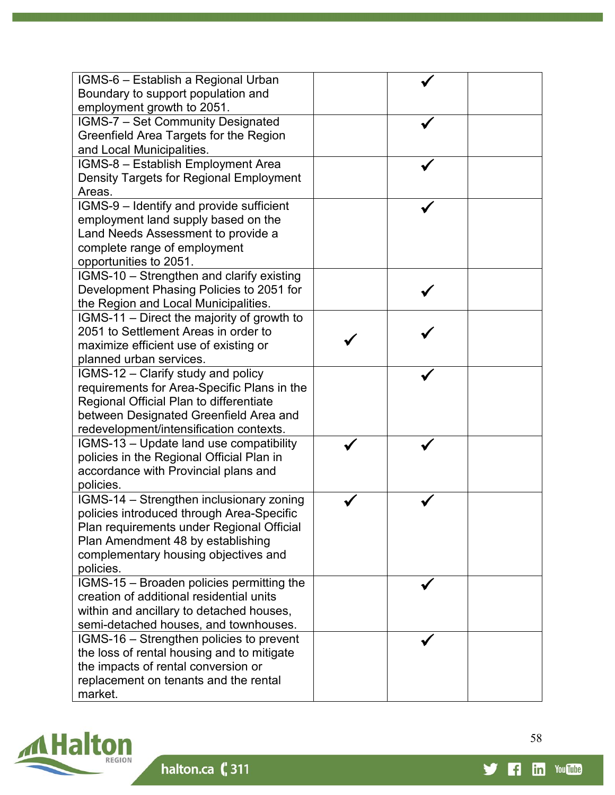| IGMS-6 - Establish a Regional Urban         |  |  |
|---------------------------------------------|--|--|
| Boundary to support population and          |  |  |
| employment growth to 2051.                  |  |  |
| IGMS-7 - Set Community Designated           |  |  |
| Greenfield Area Targets for the Region      |  |  |
| and Local Municipalities.                   |  |  |
| IGMS-8 - Establish Employment Area          |  |  |
| Density Targets for Regional Employment     |  |  |
| Areas.                                      |  |  |
| IGMS-9 - Identify and provide sufficient    |  |  |
| employment land supply based on the         |  |  |
| Land Needs Assessment to provide a          |  |  |
| complete range of employment                |  |  |
| opportunities to 2051.                      |  |  |
| IGMS-10 - Strengthen and clarify existing   |  |  |
| Development Phasing Policies to 2051 for    |  |  |
| the Region and Local Municipalities.        |  |  |
| IGMS-11 – Direct the majority of growth to  |  |  |
| 2051 to Settlement Areas in order to        |  |  |
| maximize efficient use of existing or       |  |  |
| planned urban services.                     |  |  |
| IGMS-12 - Clarify study and policy          |  |  |
| requirements for Area-Specific Plans in the |  |  |
| Regional Official Plan to differentiate     |  |  |
| between Designated Greenfield Area and      |  |  |
| redevelopment/intensification contexts.     |  |  |
| IGMS-13 - Update land use compatibility     |  |  |
| policies in the Regional Official Plan in   |  |  |
| accordance with Provincial plans and        |  |  |
| policies.                                   |  |  |
| IGMS-14 - Strengthen inclusionary zoning    |  |  |
| policies introduced through Area-Specific   |  |  |
| Plan requirements under Regional Official   |  |  |
| Plan Amendment 48 by establishing           |  |  |
| complementary housing objectives and        |  |  |
| policies.                                   |  |  |
| IGMS-15 - Broaden policies permitting the   |  |  |
| creation of additional residential units    |  |  |
| within and ancillary to detached houses,    |  |  |
| semi-detached houses, and townhouses.       |  |  |
| IGMS-16 - Strengthen policies to prevent    |  |  |
| the loss of rental housing and to mitigate  |  |  |
| the impacts of rental conversion or         |  |  |
| replacement on tenants and the rental       |  |  |
| market.                                     |  |  |



58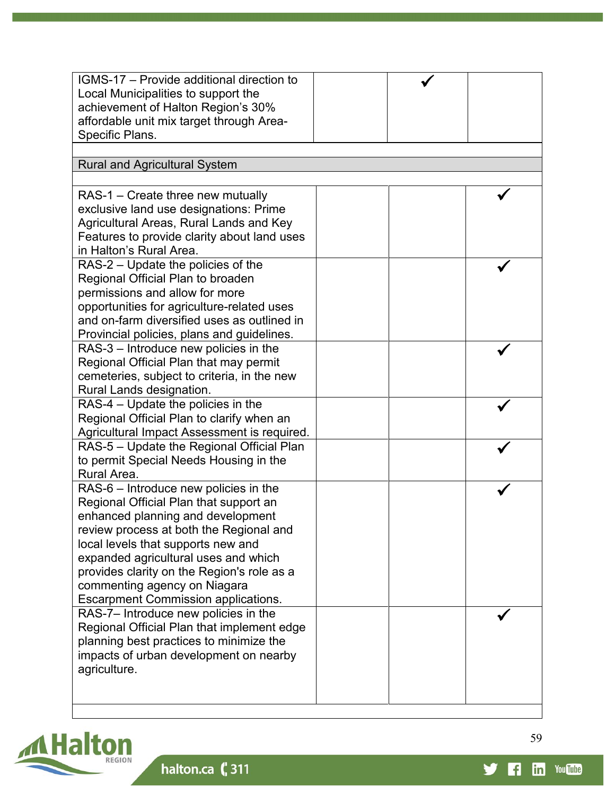| IGMS-17 - Provide additional direction to<br>Local Municipalities to support the<br>achievement of Halton Region's 30%<br>affordable unit mix target through Area-                                                                                                                                                                                                        |  |  |
|---------------------------------------------------------------------------------------------------------------------------------------------------------------------------------------------------------------------------------------------------------------------------------------------------------------------------------------------------------------------------|--|--|
| Specific Plans.<br><b>Rural and Agricultural System</b>                                                                                                                                                                                                                                                                                                                   |  |  |
|                                                                                                                                                                                                                                                                                                                                                                           |  |  |
| RAS-1 – Create three new mutually<br>exclusive land use designations: Prime<br>Agricultural Areas, Rural Lands and Key<br>Features to provide clarity about land uses<br>in Halton's Rural Area.                                                                                                                                                                          |  |  |
| RAS-2 – Update the policies of the<br>Regional Official Plan to broaden<br>permissions and allow for more<br>opportunities for agriculture-related uses<br>and on-farm diversified uses as outlined in<br>Provincial policies, plans and guidelines.                                                                                                                      |  |  |
| RAS-3 - Introduce new policies in the<br>Regional Official Plan that may permit<br>cemeteries, subject to criteria, in the new<br>Rural Lands designation.                                                                                                                                                                                                                |  |  |
| RAS-4 - Update the policies in the<br>Regional Official Plan to clarify when an<br>Agricultural Impact Assessment is required.                                                                                                                                                                                                                                            |  |  |
| RAS-5 - Update the Regional Official Plan<br>to permit Special Needs Housing in the<br>Rural Area.                                                                                                                                                                                                                                                                        |  |  |
| RAS-6 - Introduce new policies in the<br>Regional Official Plan that support an<br>enhanced planning and development<br>review process at both the Regional and<br>local levels that supports new and<br>expanded agricultural uses and which<br>provides clarity on the Region's role as a<br>commenting agency on Niagara<br><b>Escarpment Commission applications.</b> |  |  |
| RAS-7- Introduce new policies in the<br>Regional Official Plan that implement edge<br>planning best practices to minimize the<br>impacts of urban development on nearby<br>agriculture.                                                                                                                                                                                   |  |  |



y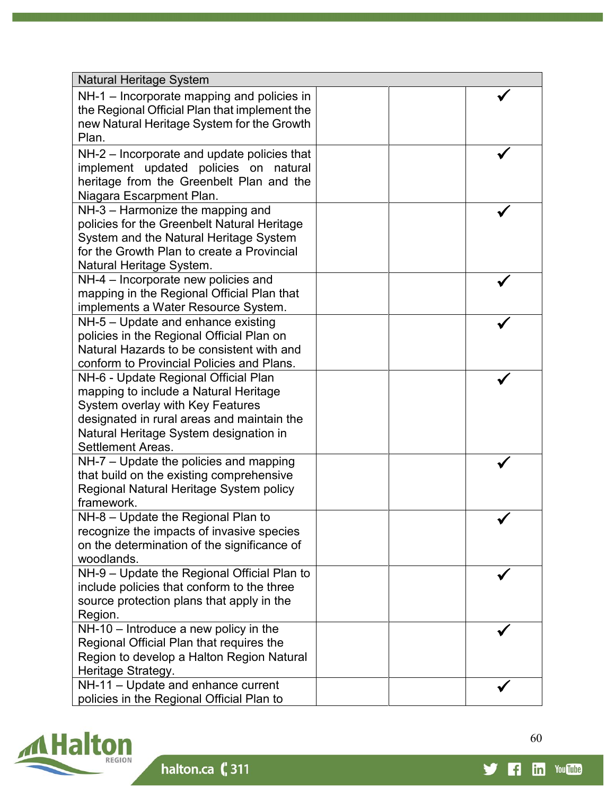| <b>Natural Heritage System</b>                        |  |
|-------------------------------------------------------|--|
| NH-1 – Incorporate mapping and policies in            |  |
| the Regional Official Plan that implement the         |  |
| new Natural Heritage System for the Growth            |  |
| Plan.                                                 |  |
| NH-2 – Incorporate and update policies that           |  |
| implement updated policies on natural                 |  |
| heritage from the Greenbelt Plan and the              |  |
| Niagara Escarpment Plan.                              |  |
| NH-3 - Harmonize the mapping and                      |  |
| policies for the Greenbelt Natural Heritage           |  |
| System and the Natural Heritage System                |  |
| for the Growth Plan to create a Provincial            |  |
| Natural Heritage System.                              |  |
| NH-4 – Incorporate new policies and                   |  |
| mapping in the Regional Official Plan that            |  |
| implements a Water Resource System.                   |  |
| NH-5 - Update and enhance existing                    |  |
| policies in the Regional Official Plan on             |  |
| Natural Hazards to be consistent with and             |  |
| conform to Provincial Policies and Plans.             |  |
| NH-6 - Update Regional Official Plan                  |  |
| mapping to include a Natural Heritage                 |  |
| <b>System overlay with Key Features</b>               |  |
| designated in rural areas and maintain the            |  |
| Natural Heritage System designation in                |  |
| <b>Settlement Areas.</b>                              |  |
| NH-7 – Update the policies and mapping                |  |
| that build on the existing comprehensive              |  |
| Regional Natural Heritage System policy<br>framework. |  |
| NH-8 - Update the Regional Plan to                    |  |
| recognize the impacts of invasive species             |  |
| on the determination of the significance of           |  |
| woodlands.                                            |  |
| NH-9 - Update the Regional Official Plan to           |  |
| include policies that conform to the three            |  |
| source protection plans that apply in the             |  |
| Region.                                               |  |
| NH-10 - Introduce a new policy in the                 |  |
| Regional Official Plan that requires the              |  |
| Region to develop a Halton Region Natural             |  |
| Heritage Strategy.                                    |  |
| NH-11 - Update and enhance current                    |  |
| policies in the Regional Official Plan to             |  |



60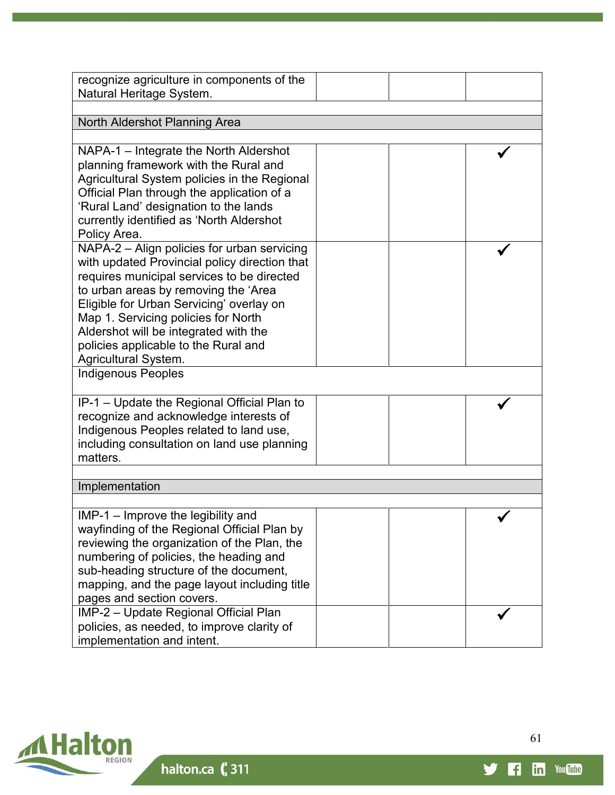| recognize agriculture in components of the    |  |
|-----------------------------------------------|--|
| Natural Heritage System.                      |  |
|                                               |  |
| North Aldershot Planning Area                 |  |
|                                               |  |
| NAPA-1 - Integrate the North Aldershot        |  |
| planning framework with the Rural and         |  |
| Agricultural System policies in the Regional  |  |
| Official Plan through the application of a    |  |
| 'Rural Land' designation to the lands         |  |
| currently identified as 'North Aldershot      |  |
| Policy Area.                                  |  |
| NAPA-2 - Align policies for urban servicing   |  |
| with updated Provincial policy direction that |  |
|                                               |  |
| requires municipal services to be directed    |  |
| to urban areas by removing the 'Area          |  |
| Eligible for Urban Servicing' overlay on      |  |
| Map 1. Servicing policies for North           |  |
| Aldershot will be integrated with the         |  |
| policies applicable to the Rural and          |  |
| <b>Agricultural System.</b>                   |  |
| <b>Indigenous Peoples</b>                     |  |
|                                               |  |
| IP-1 - Update the Regional Official Plan to   |  |
| recognize and acknowledge interests of        |  |
| Indigenous Peoples related to land use,       |  |
| including consultation on land use planning   |  |
| matters.                                      |  |
|                                               |  |
| Implementation                                |  |
|                                               |  |
| $IMP-1$ – Improve the legibility and          |  |
| wayfinding of the Regional Official Plan by   |  |
| reviewing the organization of the Plan, the   |  |
| numbering of policies, the heading and        |  |
| sub-heading structure of the document,        |  |
| mapping, and the page layout including title  |  |
| pages and section covers.                     |  |
| IMP-2 - Update Regional Official Plan         |  |
| policies, as needed, to improve clarity of    |  |
| implementation and intent.                    |  |